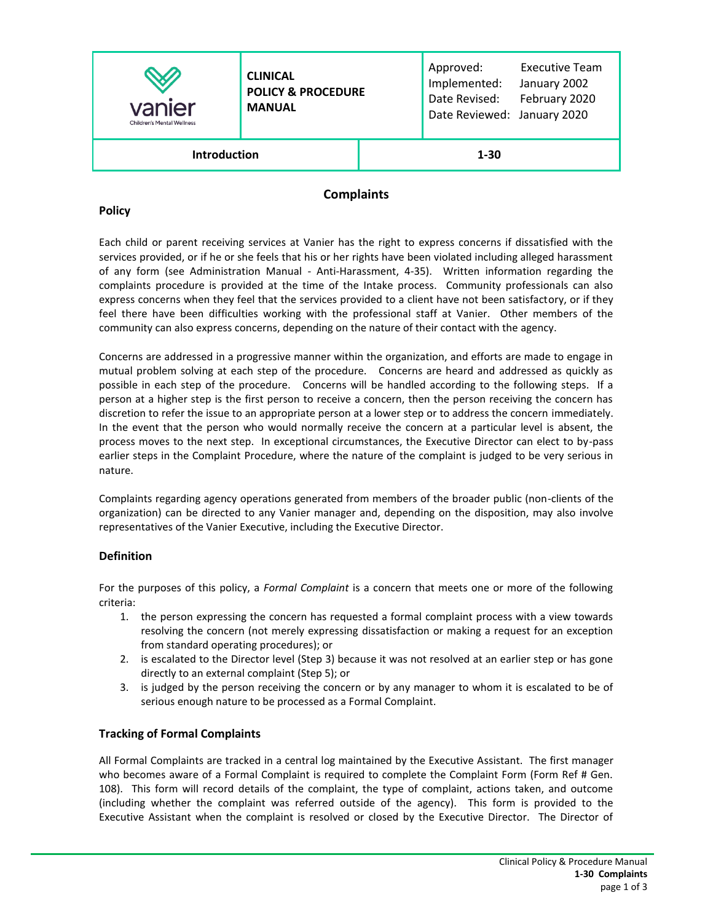| vanier<br><b>Children's Mental Wellness</b> | <b>CLINICAL</b><br><b>POLICY &amp; PROCEDURE</b><br><b>MANUAL</b> |          | Approved:<br>Implemented:<br>Date Revised:<br>Date Reviewed: January 2020 | <b>Executive Team</b><br>January 2002<br>February 2020 |
|---------------------------------------------|-------------------------------------------------------------------|----------|---------------------------------------------------------------------------|--------------------------------------------------------|
| <b>Introduction</b>                         |                                                                   | $1 - 30$ |                                                                           |                                                        |

# **Complaints**

### **Policy**

Each child or parent receiving services at Vanier has the right to express concerns if dissatisfied with the services provided, or if he or she feels that his or her rights have been violated including alleged harassment of any form (see Administration Manual - Anti-Harassment, 4-35). Written information regarding the complaints procedure is provided at the time of the Intake process. Community professionals can also express concerns when they feel that the services provided to a client have not been satisfactory, or if they feel there have been difficulties working with the professional staff at Vanier. Other members of the community can also express concerns, depending on the nature of their contact with the agency.

Concerns are addressed in a progressive manner within the organization, and efforts are made to engage in mutual problem solving at each step of the procedure. Concerns are heard and addressed as quickly as possible in each step of the procedure. Concerns will be handled according to the following steps. If a person at a higher step is the first person to receive a concern, then the person receiving the concern has discretion to refer the issue to an appropriate person at a lower step or to address the concern immediately. In the event that the person who would normally receive the concern at a particular level is absent, the process moves to the next step. In exceptional circumstances, the Executive Director can elect to by-pass earlier steps in the Complaint Procedure, where the nature of the complaint is judged to be very serious in nature.

Complaints regarding agency operations generated from members of the broader public (non-clients of the organization) can be directed to any Vanier manager and, depending on the disposition, may also involve representatives of the Vanier Executive, including the Executive Director.

# **Definition**

For the purposes of this policy, a *Formal Complaint* is a concern that meets one or more of the following criteria:

- 1. the person expressing the concern has requested a formal complaint process with a view towards resolving the concern (not merely expressing dissatisfaction or making a request for an exception from standard operating procedures); or
- 2. is escalated to the Director level (Step 3) because it was not resolved at an earlier step or has gone directly to an external complaint (Step 5); or
- 3. is judged by the person receiving the concern or by any manager to whom it is escalated to be of serious enough nature to be processed as a Formal Complaint.

# **Tracking of Formal Complaints**

All Formal Complaints are tracked in a central log maintained by the Executive Assistant. The first manager who becomes aware of a Formal Complaint is required to complete the Complaint Form (Form Ref # Gen. 108). This form will record details of the complaint, the type of complaint, actions taken, and outcome (including whether the complaint was referred outside of the agency). This form is provided to the Executive Assistant when the complaint is resolved or closed by the Executive Director. The Director of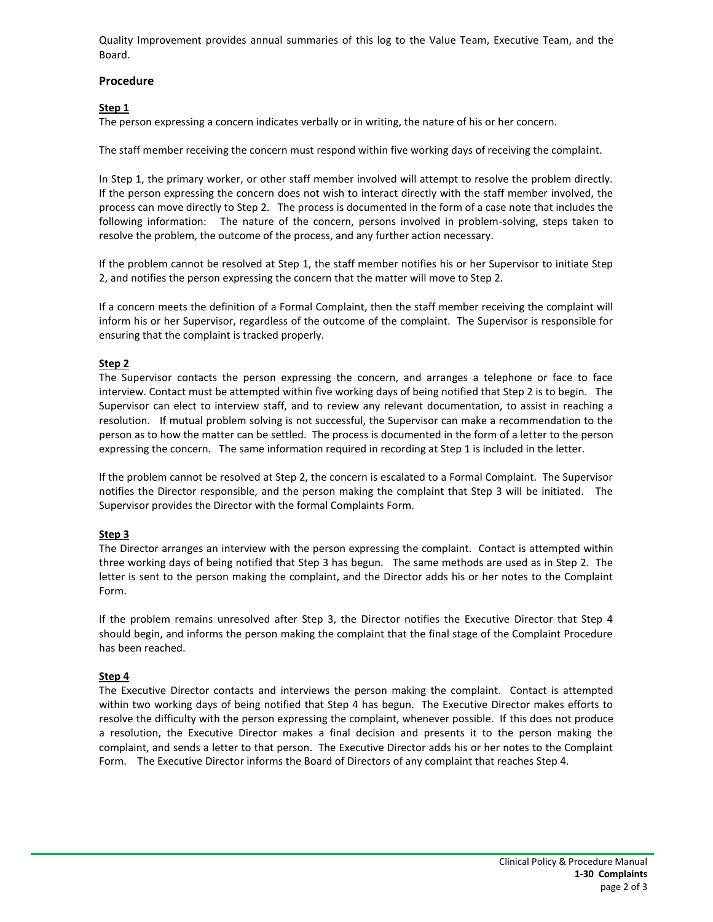Quality Improvement provides annual summaries of this log to the Value Team, Executive Team, and the Board.

#### **Procedure**

# **Step 1**

The person expressing a concern indicates verbally or in writing, the nature of his or her concern.

The staff member receiving the concern must respond within five working days of receiving the complaint.

In Step 1, the primary worker, or other staff member involved will attempt to resolve the problem directly. If the person expressing the concern does not wish to interact directly with the staff member involved, the process can move directly to Step 2. The process is documented in the form of a case note that includes the following information: The nature of the concern, persons involved in problem-solving, steps taken to resolve the problem, the outcome of the process, and any further action necessary.

If the problem cannot be resolved at Step 1, the staff member notifies his or her Supervisor to initiate Step 2, and notifies the person expressing the concern that the matter will move to Step 2.

If a concern meets the definition of a Formal Complaint, then the staff member receiving the complaint will inform his or her Supervisor, regardless of the outcome of the complaint. The Supervisor is responsible for ensuring that the complaint is tracked properly.

# **Step 2**

The Supervisor contacts the person expressing the concern, and arranges a telephone or face to face interview. Contact must be attempted within five working days of being notified that Step 2 is to begin. The Supervisor can elect to interview staff, and to review any relevant documentation, to assist in reaching a resolution. If mutual problem solving is not successful, the Supervisor can make a recommendation to the person as to how the matter can be settled. The process is documented in the form of a letter to the person expressing the concern. The same information required in recording at Step 1 is included in the letter.

If the problem cannot be resolved at Step 2, the concern is escalated to a Formal Complaint. The Supervisor notifies the Director responsible, and the person making the complaint that Step 3 will be initiated. The Supervisor provides the Director with the formal Complaints Form.

# **Step 3**

The Director arranges an interview with the person expressing the complaint. Contact is attempted within three working days of being notified that Step 3 has begun. The same methods are used as in Step 2. The letter is sent to the person making the complaint, and the Director adds his or her notes to the Complaint Form.

If the problem remains unresolved after Step 3, the Director notifies the Executive Director that Step 4 should begin, and informs the person making the complaint that the final stage of the Complaint Procedure has been reached.

# **Step 4**

The Executive Director contacts and interviews the person making the complaint. Contact is attempted within two working days of being notified that Step 4 has begun. The Executive Director makes efforts to resolve the difficulty with the person expressing the complaint, whenever possible. If this does not produce a resolution, the Executive Director makes a final decision and presents it to the person making the complaint, and sends a letter to that person. The Executive Director adds his or her notes to the Complaint Form. The Executive Director informs the Board of Directors of any complaint that reaches Step 4.